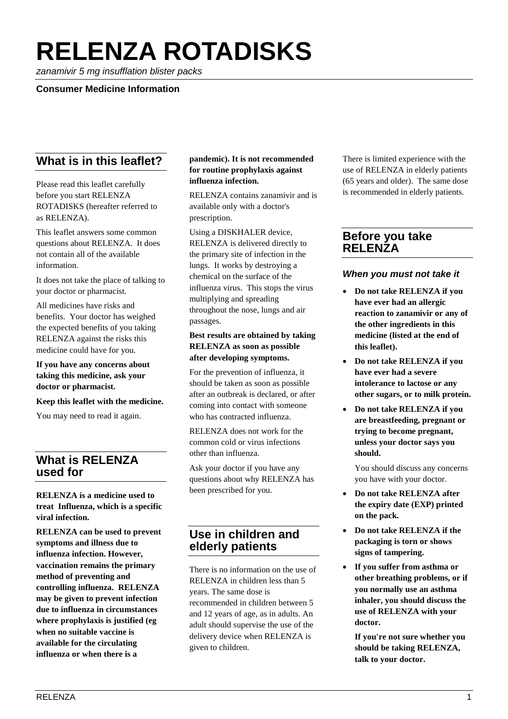# **RELENZA ROTADISKS**

*zanamivir 5 mg insufflation blister packs*

#### **Consumer Medicine Information**

# **What is in this leaflet?**

Please read this leaflet carefully before you start RELENZA ROTADISKS (hereafter referred to as RELENZA).

This leaflet answers some common questions about RELENZA. It does not contain all of the available information.

It does not take the place of talking to your doctor or pharmacist.

All medicines have risks and benefits. Your doctor has weighed the expected benefits of you taking RELENZA against the risks this medicine could have for you.

#### **If you have any concerns about taking this medicine, ask your doctor or pharmacist.**

#### **Keep this leaflet with the medicine.**

You may need to read it again.

# **What is RELENZA used for**

**RELENZA is a medicine used to treat Influenza, which is a specific viral infection.**

**RELENZA can be used to prevent symptoms and illness due to influenza infection. However, vaccination remains the primary method of preventing and controlling influenza. RELENZA may be given to prevent infection due to influenza in circumstances where prophylaxis is justified (eg when no suitable vaccine is available for the circulating influenza or when there is a** 

#### **pandemic). It is not recommended for routine prophylaxis against influenza infection.**

RELENZA contains zanamivir and is available only with a doctor's prescription.

Using a DISKHALER device, RELENZA is delivered directly to the primary site of infection in the lungs. It works by destroying a chemical on the surface of the influenza virus. This stops the virus multiplying and spreading throughout the nose, lungs and air passages.

#### **Best results are obtained by taking RELENZA as soon as possible after developing symptoms.**

For the prevention of influenza, it should be taken as soon as possible after an outbreak is declared, or after coming into contact with someone who has contracted influenza.

RELENZA does not work for the common cold or virus infections other than influenza.

Ask your doctor if you have any questions about why RELENZA has been prescribed for you.

# **Use in children and elderly patients**

There is no information on the use of RELENZA in children less than 5 years. The same dose is recommended in children between 5 and 12 years of age, as in adults. An adult should supervise the use of the delivery device when RELENZA is given to children.

There is limited experience with the use of RELENZA in elderly patients (65 years and older). The same dose is recommended in elderly patients.

## **Before you take RELENZA**

### *When you must not take it*

- **Do not take RELENZA if you have ever had an allergic reaction to zanamivir or any of the other ingredients in this medicine (listed at the end of this leaflet).**
- **Do not take RELENZA if you have ever had a severe intolerance to lactose or any other sugars, or to milk protein.**
- **Do not take RELENZA if you are breastfeeding, pregnant or trying to become pregnant, unless your doctor says you should.**

You should discuss any concerns you have with your doctor.

- **Do not take RELENZA after the expiry date (EXP) printed on the pack.**
- **Do not take RELENZA if the packaging is torn or shows signs of tampering.**
- **If you suffer from asthma or other breathing problems, or if you normally use an asthma inhaler, you should discuss the use of RELENZA with your doctor.**

**If you're not sure whether you should be taking RELENZA, talk to your doctor.**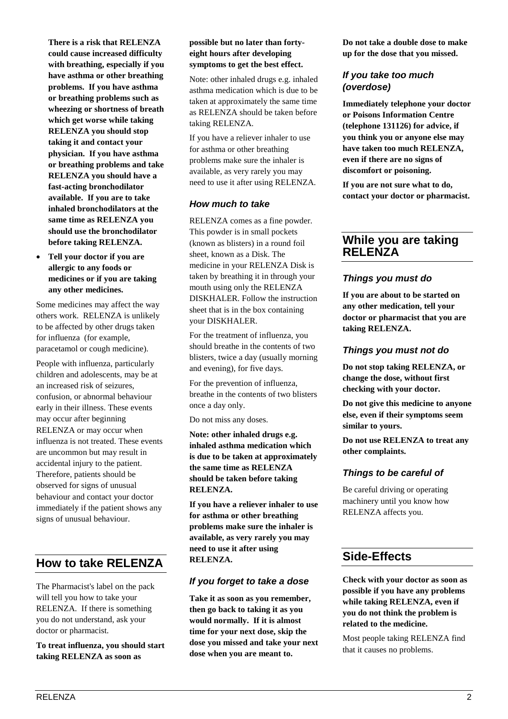**There is a risk that RELENZA could cause increased difficulty with breathing, especially if you have asthma or other breathing problems. If you have asthma or breathing problems such as wheezing or shortness of breath which get worse while taking RELENZA you should stop taking it and contact your physician. If you have asthma or breathing problems and take RELENZA you should have a fast-acting bronchodilator available. If you are to take inhaled bronchodilators at the same time as RELENZA you should use the bronchodilator before taking RELENZA.**

• **Tell your doctor if you are allergic to any foods or medicines or if you are taking any other medicines.**

Some medicines may affect the way others work. RELENZA is unlikely to be affected by other drugs taken for influenza (for example, paracetamol or cough medicine).

People with influenza, particularly children and adolescents, may be at an increased risk of seizures, confusion, or abnormal behaviour early in their illness. These events may occur after beginning RELENZA or may occur when influenza is not treated. These events are uncommon but may result in accidental injury to the patient. Therefore, patients should be observed for signs of unusual behaviour and contact your doctor immediately if the patient shows any signs of unusual behaviour.

# **How to take RELENZA**

The Pharmacist's label on the pack will tell you how to take your RELENZA. If there is something you do not understand, ask your doctor or pharmacist.

**To treat influenza, you should start taking RELENZA as soon as** 

#### **possible but no later than fortyeight hours after developing symptoms to get the best effect.**

Note: other inhaled drugs e.g. inhaled asthma medication which is due to be taken at approximately the same time as RELENZA should be taken before taking RELENZA.

If you have a reliever inhaler to use for asthma or other breathing problems make sure the inhaler is available, as very rarely you may need to use it after using RELENZA.

## *How much to take*

RELENZA comes as a fine powder. This powder is in small pockets (known as blisters) in a round foil sheet, known as a Disk. The medicine in your RELENZA Disk is taken by breathing it in through your mouth using only the RELENZA DISKHALER. Follow the instruction sheet that is in the box containing your DISKHALER.

For the treatment of influenza, you should breathe in the contents of two blisters, twice a day (usually morning and evening), for five days.

For the prevention of influenza, breathe in the contents of two blisters once a day only.

Do not miss any doses.

**Note: other inhaled drugs e.g. inhaled asthma medication which is due to be taken at approximately the same time as RELENZA should be taken before taking RELENZA.**

**If you have a reliever inhaler to use for asthma or other breathing problems make sure the inhaler is available, as very rarely you may need to use it after using RELENZA.**

## *If you forget to take a dose*

**Take it as soon as you remember, then go back to taking it as you would normally. If it is almost time for your next dose, skip the dose you missed and take your next dose when you are meant to.**

**Do not take a double dose to make up for the dose that you missed.**

## *If you take too much (overdose)*

**Immediately telephone your doctor or Poisons Information Centre (telephone 131126) for advice, if you think you or anyone else may have taken too much RELENZA, even if there are no signs of discomfort or poisoning.**

**If you are not sure what to do, contact your doctor or pharmacist.**

# **While you are taking RELENZA**

# *Things you must do*

**If you are about to be started on any other medication, tell your doctor or pharmacist that you are taking RELENZA.**

## *Things you must not do*

**Do not stop taking RELENZA, or change the dose, without first checking with your doctor.**

**Do not give this medicine to anyone else, even if their symptoms seem similar to yours.**

**Do not use RELENZA to treat any other complaints.**

# *Things to be careful of*

Be careful driving or operating machinery until you know how RELENZA affects you.

# **Side-Effects**

**Check with your doctor as soon as possible if you have any problems while taking RELENZA, even if you do not think the problem is related to the medicine.**

Most people taking RELENZA find that it causes no problems.